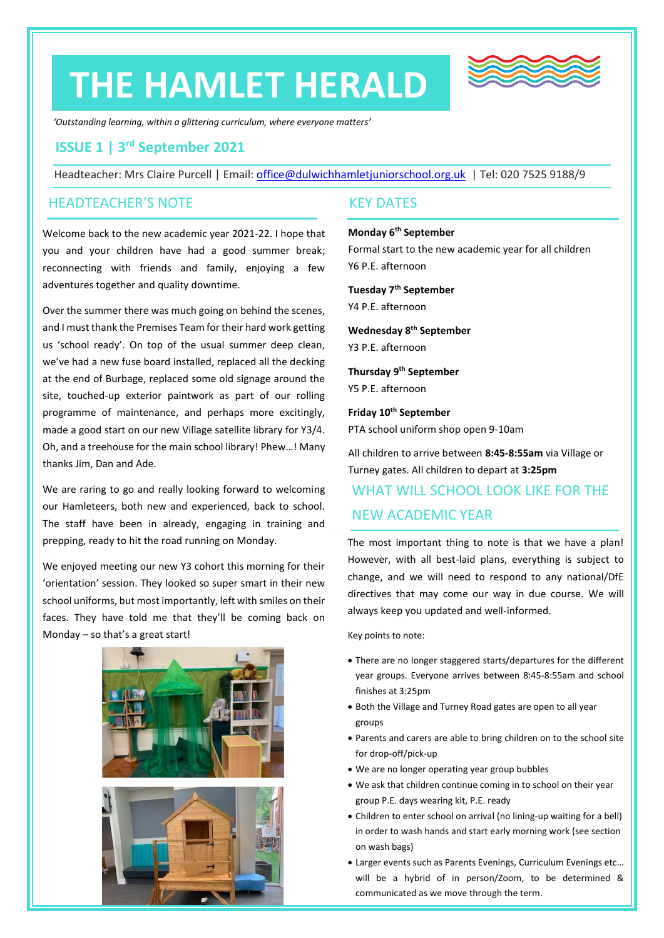## **THE HAMLET HERALD**



*'Outstanding learning, within a glittering curriculum, where everyone matters'*

## **ISSUE 1 | 3 rd September 2021**

Headteacher: Mrs Claire Purcell | Email: [office@dulwichhamletjuniorschool.org.uk](mailto:office@dulwichhamletjuniorschool.org.uk) | Tel: 020 7525 9188/9

## HEADTEACHER'S NOTE

Welcome back to the new academic year 2021-22. I hope that you and your children have had a good summer break; reconnecting with friends and family, enjoying a few adventures together and quality downtime.

Over the summer there was much going on behind the scenes, and I must thank the Premises Team for their hard work getting us 'school ready'. On top of the usual summer deep clean, we've had a new fuse board installed, replaced all the decking at the end of Burbage, replaced some old signage around the site, touched-up exterior paintwork as part of our rolling programme of maintenance, and perhaps more excitingly, made a good start on our new Village satellite library for Y3/4. Oh, and a treehouse for the main school library! Phew…! Many thanks Jim, Dan and Ade.

We are raring to go and really looking forward to welcoming our Hamleteers, both new and experienced, back to school. The staff have been in already, engaging in training and prepping, ready to hit the road running on Monday.

We enjoyed meeting our new Y3 cohort this morning for their 'orientation' session. They looked so super smart in their new school uniforms, but most importantly, left with smiles on their faces. They have told me that they'll be coming back on Monday – so that's a great start!



## KEY DATES

## **Monday 6th September**

Formal start to the new academic year for all children Y6 P.E. afternoon

## **Tuesday 7th September**

Y4 P.E. afternoon

## **Wednesday 8th September**

Y3 P.E. afternoon

## **Thursday 9th September**

Y5 P.E. afternoon

## **Friday 10th September**

PTA school uniform shop open 9-10am

All children to arrive between **8:45-8:55am** via Village or Turney gates. All children to depart at **3:25pm**

## WHAT WILL SCHOOL LOOK LIKE FOR THE NEW ACADEMIC YEAR

The most important thing to note is that we have a plan! However, with all best-laid plans, everything is subject to change, and we will need to respond to any national/DfE directives that may come our way in due course. We will always keep you updated and well-informed.

Key points to note:

- There are no longer staggered starts/departures for the different year groups. Everyone arrives between 8:45-8:55am and school finishes at 3:25pm
- Both the Village and Turney Road gates are open to all year groups
- Parents and carers are able to bring children on to the school site for drop-off/pick-up
- We are no longer operating year group bubbles
- We ask that children continue coming in to school on their year group P.E. days wearing kit, P.E. ready
- Children to enter school on arrival (no lining-up waiting for a bell) in order to wash hands and start early morning work (see section on wash bags)
- Larger events such as Parents Evenings, Curriculum Evenings etc… will be a hybrid of in person/Zoom, to be determined & communicated as we move through the term.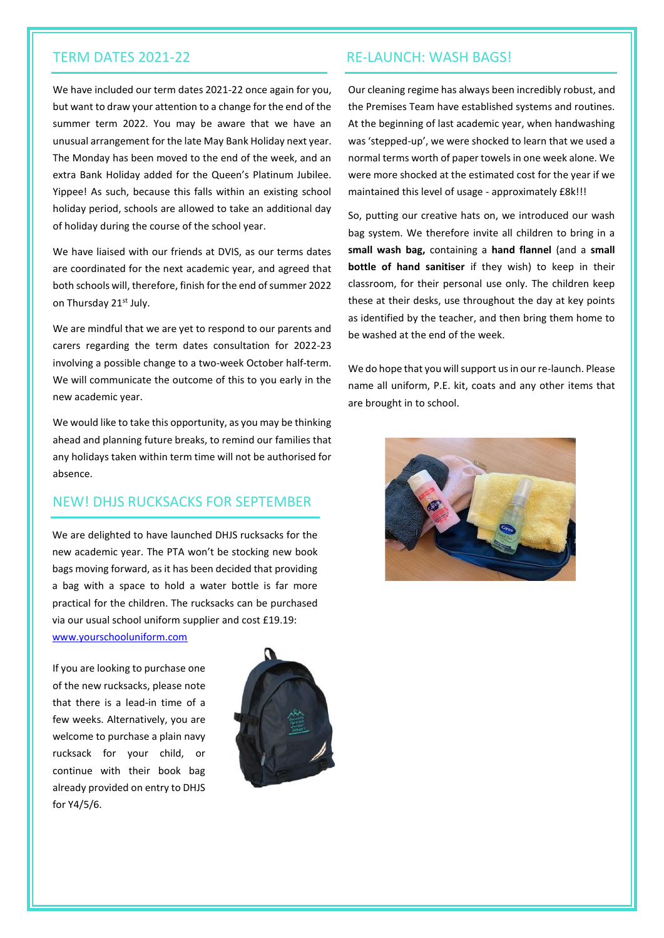We have included our term dates 2021-22 once again for you, but want to draw your attention to a change for the end of the summer term 2022. You may be aware that we have an unusual arrangement for the late May Bank Holiday next year. The Monday has been moved to the end of the week, and an extra Bank Holiday added for the Queen's Platinum Jubilee. Yippee! As such, because this falls within an existing school holiday period, schools are allowed to take an additional day of holiday during the course of the school year.

We have liaised with our friends at DVIS, as our terms dates are coordinated for the next academic year, and agreed that both schools will, therefore, finish for the end of summer 2022 on Thursday 21<sup>st</sup> July.

We are mindful that we are yet to respond to our parents and carers regarding the term dates consultation for 2022-23 involving a possible change to a two-week October half-term. We will communicate the outcome of this to you early in the new academic year.

We would like to take this opportunity, as you may be thinking ahead and planning future breaks, to remind our families that any holidays taken within term time will not be authorised for absence.

## NEW! DHJS RUCKSACKS FOR SEPTEMBER

We are delighted to have launched DHJS rucksacks for the new academic year. The PTA won't be stocking new book bags moving forward, as it has been decided that providing a bag with a space to hold a water bottle is far more practical for the children. The rucksacks can be purchased via our usual school uniform supplier and cost £19.19: [www.yourschooluniform.com](http://www.yourschooluniform.com/)

If you are looking to purchase one

of the new rucksacks, please note that there is a lead-in time of a few weeks. Alternatively, you are welcome to purchase a plain navy rucksack for your child, or continue with their book bag already provided on entry to DHJS for Y4/5/6.



## TERM DATES 2021-22 RE-LAUNCH: WASH BAGS!

Our cleaning regime has always been incredibly robust, and the Premises Team have established systems and routines. At the beginning of last academic year, when handwashing was 'stepped-up', we were shocked to learn that we used a normal terms worth of paper towels in one week alone. We were more shocked at the estimated cost for the year if we maintained this level of usage - approximately £8k!!!

So, putting our creative hats on, we introduced our wash bag system. We therefore invite all children to bring in a **small wash bag,** containing a **hand flannel** (and a **small bottle of hand sanitiser** if they wish) to keep in their classroom, for their personal use only. The children keep these at their desks, use throughout the day at key points as identified by the teacher, and then bring them home to be washed at the end of the week.

We do hope that you will support us in our re-launch. Please name all uniform, P.E. kit, coats and any other items that are brought in to school.

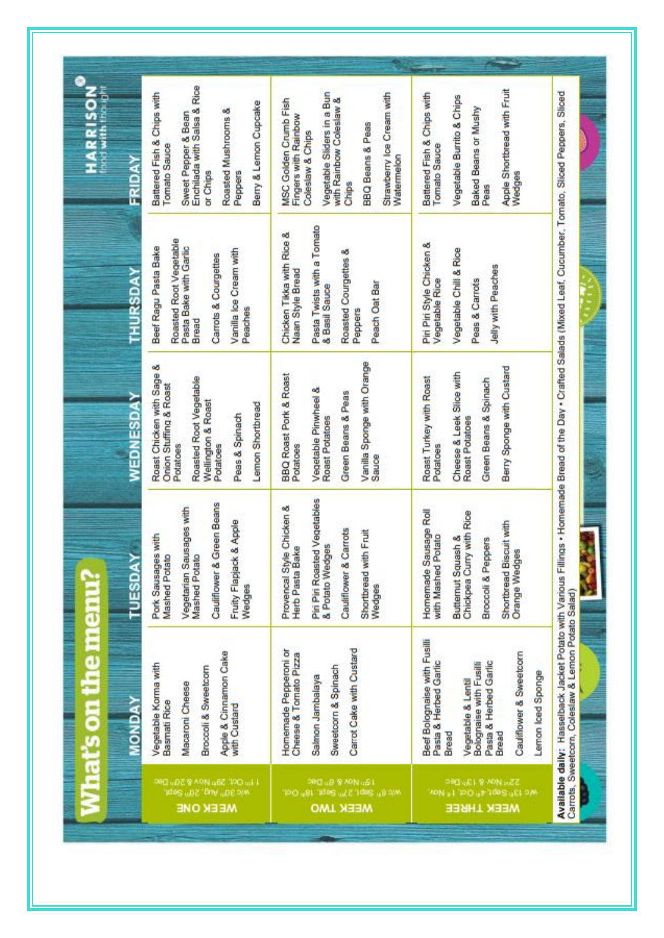| <b>HARRISON<sup>®</sup></b>                                      | FRIDAY           | Enchilada with Salsa & Rice<br>Battered Fish & Chips with<br>Berry & Lemon Cupcake<br>Roasted Mushrooms &<br>Sweet Pepper & Bean<br>Tomato Sauce<br>or Chips<br>Peppers      | Vegetable Sliders in a Bun<br>Strawberry loe Cream with<br>with Rainbow Coleslaw &<br>MSC Golden Crumb Fish<br>Fingers with Rainbow<br>BBQ Beans & Peas<br>Coleslaw & Chips<br>Watermelon<br>Chips | Apple Shortbread with Fruit<br>Battered Fish & Chips with<br>Vegetable Burrito & Chips<br>Baked Beans or Mushy<br><b>Tomato Sauce</b><br>Wedges<br>Peas                                           |                                                                                                                                                                    |
|------------------------------------------------------------------|------------------|------------------------------------------------------------------------------------------------------------------------------------------------------------------------------|----------------------------------------------------------------------------------------------------------------------------------------------------------------------------------------------------|---------------------------------------------------------------------------------------------------------------------------------------------------------------------------------------------------|--------------------------------------------------------------------------------------------------------------------------------------------------------------------|
|                                                                  | THURSDAY         | Roasted Root Vegetable<br>Pasta Bake with Garlic<br>Beef Ragu Pasta Bake<br>Vanilla Ice Cream with<br>Carrots & Courgettes<br>Peaches<br>Bread                               | Pasta Twists with a Tomato<br>& Basil Sauce<br>Chicken Tikka with Rice &<br>Roasted Courgettes &<br>Naan Style Bread<br>Peach Oat Bar<br>Peppers                                                   | Piri Piri Style Chicken &<br>Vegetable Chill & Rice<br>Jelly with Peaches<br>Peas & Carrots<br>Vegetable Rice                                                                                     | Available daily: Hasselback Jacket Potato with Various Fillings • Homemade Bread of the Day • Crafted Salads (Mixed Leaf, Cucumber, Tomato, Sliced Peppers, Sliced |
|                                                                  | <b>WEDNESDAY</b> | Roast Chicken with Sage &<br>Roasted Root Vegetable<br>Onion Stuffing & Roast<br><b>Wellington &amp; Roast</b><br>Lemon Shortbread<br>Peas & Spinach<br>Potatoes<br>Potatoes | Vanilla Sponge with Orange<br><b>BBQ Roast Pork &amp; Roast</b><br>Vegetable Pinwheel &<br>Green Beans & Peas<br>Roast Potatoes<br>Potatoes<br>Sauce                                               | Berry Sponge with Custard<br>Cheese & Leek Slice with<br>Roast Turkey with Roast<br>Green Beans & Spinach<br>Roast Potatoes<br>Potatoes                                                           |                                                                                                                                                                    |
|                                                                  | TUESDAY          | Cauliflower & Green Beans<br>Vegetarian Sausages with<br>& Apple<br>with<br>Pork Sausages<br>Mashed Potato<br>Mashed Potato<br>Fruity Flapjack<br>Wedges                     | Pin Pin Roasted Vegetables<br>Provencal Style Chicken &<br>Cauliflower & Carrots<br>Shortbread with Fruit<br>& Potato Wedges<br><b>Herb Pasta Bake</b><br>Wedges                                   | Homemade Sausage Roll<br>Chickpea Curry with Rice<br>Shortbread Biscuit with<br>with Mashed Potato<br>Butternut Squash &<br>Broccoli & Peppers<br><b>Orange Wedges</b>                            | Ď<br>Ý.                                                                                                                                                            |
| <b>What's on the menu?</b><br><b>Maria Propinsi Participants</b> | <b>MONDA</b>     | Apple & Cinnamon Cake<br>Vegetable Korma with<br>Broccoli & Sweetcom<br>Macaroni Cheese<br>Basmati Rice<br>with Custard                                                      | Carrot Cake with Custard<br>Homemade Pepperoni or<br>Cheese & Tomato Pizza<br>Sweetcorn & Spinach<br>Salmon Jambalaya                                                                              | Beef Bolognaise with Fusilli<br>Cauliflower & Sweetcorn<br>Pasta & Herbed Garlic<br>Pasta & Herbed Gartic<br>Bolognaise with Fusilli<br>Lemon loed Sponge<br>Vegetable & Lentil<br>Bread<br>Bread | Carrots, Sweetcorn, Coleslaw & Lemon Potato Salad)                                                                                                                 |
|                                                                  |                  | 2011/07/28 APN uSZ/PO uLT<br>Ante 30 Public State<br><b>MEEK ONE</b>                                                                                                         | PROJE 8 APN (B)<br>N/D 01 540 277 540 157 000<br><b>WEEK TWO</b>                                                                                                                                   | 990 (#1.9 APN) (22<br>World Sept 4, Oct 1, Nov.<br><b>WEEK THREE</b>                                                                                                                              |                                                                                                                                                                    |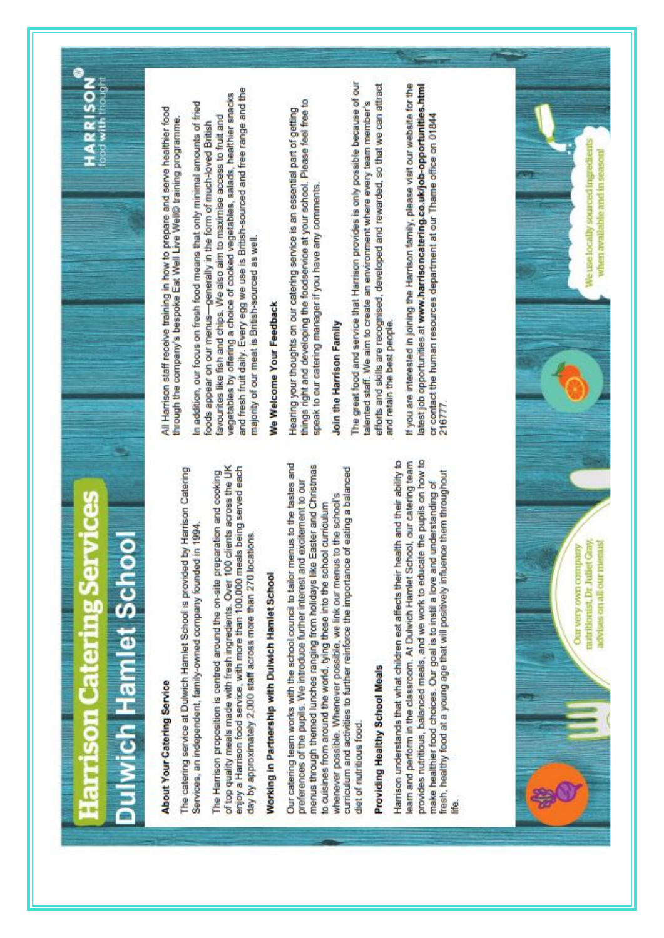# larrison Catering Services ch Hamlet School

## **HARRISON**

## About Your Catering Service

The catering service at Dulwich Hamlet School is provided by Harrison Catering Services, an independent, family-owned company founded in 1994. The Harrison proposition is centred around the on-site preparation and cooking<br>of top quality meals made with fresh ingredients. Over 100 clients across the UK enjoy a Harrison food service, with more than 100,000 meals being served each day by approximately 2,000 staff across more than 270 locations.

# Norking in Partnership with Dulwich Hamlet School

Our catering team works with the school council to tailor menus to the tastes and menus through themed lunches ranging from holidays like Easter and Christmas curriculum and activities to further reinforce the importance of eating a balanced preferences of the pupils. We introduce further interest and excitement to our whenever possible. Whenever possible, we link our menus to the school's to cuisines from around the world, tying these into the school curriculum diet of nutritious food.

# Providing Healthy School Meals

provides nutritious, balanced meals, and we work to educate the pupils on how to Harrison understands that what children eat affects their health and their ability to learn and perform in the classroom. At Dutwich Hamlet School, our catering team fresh, healthy food at a young age that will positively influence them throughout make healthier food choices. Our goal is to instil a love and understanding of

All Harrison staff receive training in how to prepare and serve healthier food through the company's bespoke Eat Well Live Well© training programme.

and fresh fruit daily. Every egg we use is British-sourced and free range and the vegetables by offering a choice of cooked vegetables, salads, healthier snacks In addition, our focus on fresh food means that only minimal amounts of fried favourites like fish and chips. We also aim to maximise access to fruit and foods appear on our menus-generally in the form of much-loved British majority of our meat is British-sourced as well.

# We Welcome Your Feedback

things right and developing the foodservice at your school. Please feel free to Hearing your thoughts on our catering service is an essential part of getting speak to our catering manager if you have any comments.

## Join the Harrison Family

The great food and service that Harrison provides is only possible because of our efforts and skills are recognised, developed and rewarded, so that we can attract talented staff. We aim to create an environment where every team member's and retain the best people.

If you are interested in joining the Harrison family, please visit our website for the latest job opportunities at www.harrisoncatering.co.uk/job-opportunities.html or contact the human resources department at our Thame office on 01844<br>216777.